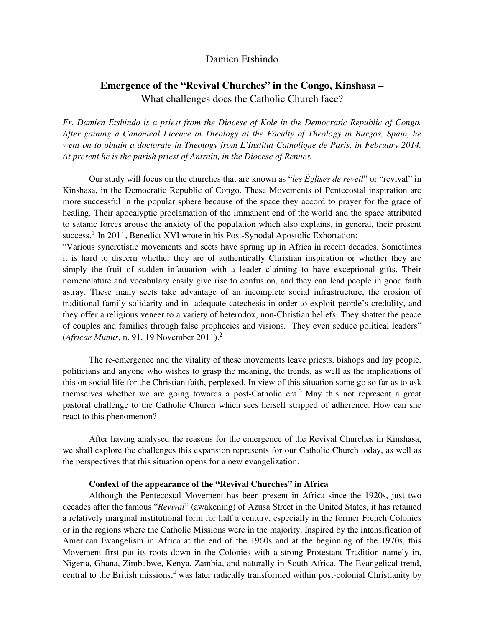# Damien Etshindo

# **Emergence of the "Revival Churches" in the Congo, Kinshasa –**  What challenges does the Catholic Church face?

*Fr. Damien Etshindo is a priest from the Diocese of Kole in the Democratic Republic of Congo. After gaining a Canonical Licence in Theology at the Faculty of Theology in Burgos, Spain, he went on to obtain a doctorate in Theology from L'Institut Catholique de Paris, in February 2014. At present he is the parish priest of Antrain, in the Diocese of Rennes.* 

Our study will focus on the churches that are known as "*les Églises de reveil*" or "revival" in Kinshasa, in the Democratic Republic of Congo. These Movements of Pentecostal inspiration are more successful in the popular sphere because of the space they accord to prayer for the grace of healing. Their apocalyptic proclamation of the immanent end of the world and the space attributed to satanic forces arouse the anxiety of the population which also explains, in general, their present success.<sup>1</sup> In 2011, Benedict XVI wrote in his Post-Synodal Apostolic Exhortation:

"Various syncretistic movements and sects have sprung up in Africa in recent decades. Sometimes it is hard to discern whether they are of authentically Christian inspiration or whether they are simply the fruit of sudden infatuation with a leader claiming to have exceptional gifts. Their nomenclature and vocabulary easily give rise to confusion, and they can lead people in good faith astray. These many sects take advantage of an incomplete social infrastructure, the erosion of traditional family solidarity and in- adequate catechesis in order to exploit people's credulity, and they offer a religious veneer to a variety of heterodox, non-Christian beliefs. They shatter the peace of couples and families through false prophecies and visions. They even seduce political leaders" (*Africae Munus*, n. 91, 19 November 2011).<sup>2</sup>

The re-emergence and the vitality of these movements leave priests, bishops and lay people, politicians and anyone who wishes to grasp the meaning, the trends, as well as the implications of this on social life for the Christian faith, perplexed. In view of this situation some go so far as to ask themselves whether we are going towards a post-Catholic era.<sup>3</sup> May this not represent a great pastoral challenge to the Catholic Church which sees herself stripped of adherence. How can she react to this phenomenon?

After having analysed the reasons for the emergence of the Revival Churches in Kinshasa, we shall explore the challenges this expansion represents for our Catholic Church today, as well as the perspectives that this situation opens for a new evangelization.

# **Context of the appearance of the "Revival Churches" in Africa**

Although the Pentecostal Movement has been present in Africa since the 1920s, just two decades after the famous "*Revival*" (awakening) of Azusa Street in the United States, it has retained a relatively marginal institutional form for half a century, especially in the former French Colonies or in the regions where the Catholic Missions were in the majority. Inspired by the intensification of American Evangelism in Africa at the end of the 1960s and at the beginning of the 1970s, this Movement first put its roots down in the Colonies with a strong Protestant Tradition namely in, Nigeria, Ghana, Zimbabwe, Kenya, Zambia, and naturally in South Africa. The Evangelical trend, central to the British missions,<sup>4</sup> was later radically transformed within post-colonial Christianity by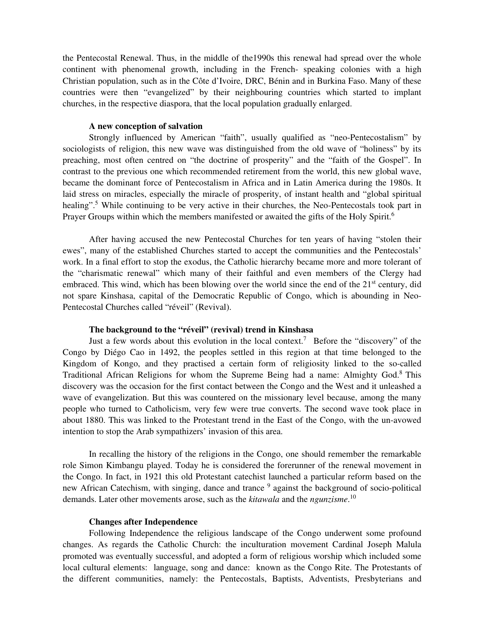the Pentecostal Renewal. Thus, in the middle of the1990s this renewal had spread over the whole continent with phenomenal growth, including in the French- speaking colonies with a high Christian population, such as in the Côte d'Ivoire, DRC, Bénin and in Burkina Faso. Many of these countries were then "evangelized" by their neighbouring countries which started to implant churches, in the respective diaspora, that the local population gradually enlarged.

# **A new conception of salvation**

Strongly influenced by American "faith", usually qualified as "neo-Pentecostalism" by sociologists of religion, this new wave was distinguished from the old wave of "holiness" by its preaching, most often centred on "the doctrine of prosperity" and the "faith of the Gospel". In contrast to the previous one which recommended retirement from the world, this new global wave, became the dominant force of Pentecostalism in Africa and in Latin America during the 1980s. It laid stress on miracles, especially the miracle of prosperity, of instant health and "global spiritual healing".<sup>5</sup> While continuing to be very active in their churches, the Neo-Pentecostals took part in Prayer Groups within which the members manifested or awaited the gifts of the Holy Spirit.<sup>6</sup>

After having accused the new Pentecostal Churches for ten years of having "stolen their ewes", many of the established Churches started to accept the communities and the Pentecostals' work. In a final effort to stop the exodus, the Catholic hierarchy became more and more tolerant of the "charismatic renewal" which many of their faithful and even members of the Clergy had embraced. This wind, which has been blowing over the world since the end of the  $21<sup>st</sup>$  century, did not spare Kinshasa, capital of the Democratic Republic of Congo, which is abounding in Neo-Pentecostal Churches called "réveil" (Revival).

## **The background to the "réveil" (revival) trend in Kinshasa**

Just a few words about this evolution in the local context.<sup>7</sup> Before the "discovery" of the Congo by Diégo Cao in 1492, the peoples settled in this region at that time belonged to the Kingdom of Kongo, and they practised a certain form of religiosity linked to the so-called Traditional African Religions for whom the Supreme Being had a name: Almighty God.<sup>8</sup> This discovery was the occasion for the first contact between the Congo and the West and it unleashed a wave of evangelization. But this was countered on the missionary level because, among the many people who turned to Catholicism, very few were true converts. The second wave took place in about 1880. This was linked to the Protestant trend in the East of the Congo, with the un-avowed intention to stop the Arab sympathizers' invasion of this area.

In recalling the history of the religions in the Congo, one should remember the remarkable role Simon Kimbangu played. Today he is considered the forerunner of the renewal movement in the Congo. In fact, in 1921 this old Protestant catechist launched a particular reform based on the new African Catechism, with singing, dance and trance <sup>9</sup> against the background of socio-political demands. Later other movements arose, such as the *kitawala* and the *ngunzisme*. 10

## **Changes after Independence**

Following Independence the religious landscape of the Congo underwent some profound changes. As regards the Catholic Church: the inculturation movement Cardinal Joseph Malula promoted was eventually successful, and adopted a form of religious worship which included some local cultural elements: language, song and dance: known as the Congo Rite. The Protestants of the different communities, namely: the Pentecostals, Baptists, Adventists, Presbyterians and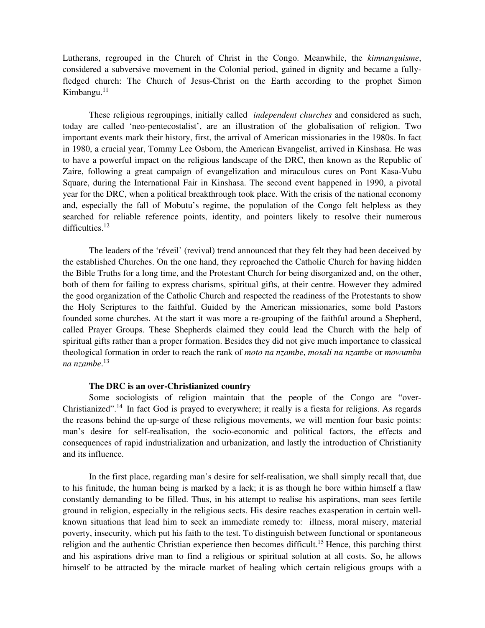Lutherans, regrouped in the Church of Christ in the Congo. Meanwhile, the *kimnanguisme*, considered a subversive movement in the Colonial period, gained in dignity and became a fullyfledged church: The Church of Jesus-Christ on the Earth according to the prophet Simon Kimbangu.<sup>11</sup>

These religious regroupings, initially called *independent churches* and considered as such, today are called 'neo-pentecostalist', are an illustration of the globalisation of religion. Two important events mark their history, first, the arrival of American missionaries in the 1980s. In fact in 1980, a crucial year, Tommy Lee Osborn, the American Evangelist, arrived in Kinshasa. He was to have a powerful impact on the religious landscape of the DRC, then known as the Republic of Zaire, following a great campaign of evangelization and miraculous cures on Pont Kasa-Vubu Square, during the International Fair in Kinshasa. The second event happened in 1990, a pivotal year for the DRC, when a political breakthrough took place. With the crisis of the national economy and, especially the fall of Mobutu's regime, the population of the Congo felt helpless as they searched for reliable reference points, identity, and pointers likely to resolve their numerous difficulties.<sup>12</sup>

The leaders of the 'réveil' (revival) trend announced that they felt they had been deceived by the established Churches. On the one hand, they reproached the Catholic Church for having hidden the Bible Truths for a long time, and the Protestant Church for being disorganized and, on the other, both of them for failing to express charisms, spiritual gifts, at their centre. However they admired the good organization of the Catholic Church and respected the readiness of the Protestants to show the Holy Scriptures to the faithful. Guided by the American missionaries, some bold Pastors founded some churches. At the start it was more a re-grouping of the faithful around a Shepherd, called Prayer Groups. These Shepherds claimed they could lead the Church with the help of spiritual gifts rather than a proper formation. Besides they did not give much importance to classical theological formation in order to reach the rank of *moto na nzambe*, *mosali na nzambe* or *mowumbu na nzambe*. 13

#### **The DRC is an over-Christianized country**

Some sociologists of religion maintain that the people of the Congo are "over-Christianized".<sup>14</sup> In fact God is prayed to everywhere; it really is a fiesta for religions. As regards the reasons behind the up-surge of these religious movements, we will mention four basic points: man's desire for self-realisation, the socio-economic and political factors, the effects and consequences of rapid industrialization and urbanization, and lastly the introduction of Christianity and its influence.

In the first place, regarding man's desire for self-realisation, we shall simply recall that, due to his finitude, the human being is marked by a lack; it is as though he bore within himself a flaw constantly demanding to be filled. Thus, in his attempt to realise his aspirations, man sees fertile ground in religion, especially in the religious sects. His desire reaches exasperation in certain wellknown situations that lead him to seek an immediate remedy to: illness, moral misery, material poverty, insecurity, which put his faith to the test. To distinguish between functional or spontaneous religion and the authentic Christian experience then becomes difficult.<sup>15</sup> Hence, this parching thirst and his aspirations drive man to find a religious or spiritual solution at all costs. So, he allows himself to be attracted by the miracle market of healing which certain religious groups with a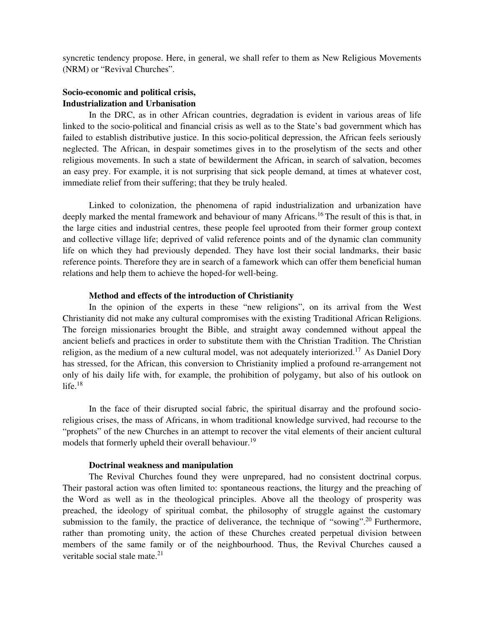syncretic tendency propose. Here, in general, we shall refer to them as New Religious Movements (NRM) or "Revival Churches".

# **Socio-economic and political crisis, Industrialization and Urbanisation**

In the DRC, as in other African countries, degradation is evident in various areas of life linked to the socio-political and financial crisis as well as to the State's bad government which has failed to establish distributive justice. In this socio-political depression, the African feels seriously neglected. The African, in despair sometimes gives in to the proselytism of the sects and other religious movements. In such a state of bewilderment the African, in search of salvation, becomes an easy prey. For example, it is not surprising that sick people demand, at times at whatever cost, immediate relief from their suffering; that they be truly healed.

Linked to colonization, the phenomena of rapid industrialization and urbanization have deeply marked the mental framework and behaviour of many Africans.<sup>16</sup> The result of this is that, in the large cities and industrial centres, these people feel uprooted from their former group context and collective village life; deprived of valid reference points and of the dynamic clan community life on which they had previously depended. They have lost their social landmarks, their basic reference points. Therefore they are in search of a famework which can offer them beneficial human relations and help them to achieve the hoped-for well-being.

## **Method and effects of the introduction of Christianity**

In the opinion of the experts in these "new religions", on its arrival from the West Christianity did not make any cultural compromises with the existing Traditional African Religions. The foreign missionaries brought the Bible, and straight away condemned without appeal the ancient beliefs and practices in order to substitute them with the Christian Tradition. The Christian religion, as the medium of a new cultural model, was not adequately interiorized.<sup>17</sup> As Daniel Dory has stressed, for the African, this conversion to Christianity implied a profound re-arrangement not only of his daily life with, for example, the prohibition of polygamy, but also of his outlook on life. $18$ 

In the face of their disrupted social fabric, the spiritual disarray and the profound socioreligious crises, the mass of Africans, in whom traditional knowledge survived, had recourse to the "prophets" of the new Churches in an attempt to recover the vital elements of their ancient cultural models that formerly upheld their overall behaviour.<sup>19</sup>

#### **Doctrinal weakness and manipulation**

The Revival Churches found they were unprepared, had no consistent doctrinal corpus. Their pastoral action was often limited to: spontaneous reactions, the liturgy and the preaching of the Word as well as in the theological principles. Above all the theology of prosperity was preached, the ideology of spiritual combat, the philosophy of struggle against the customary submission to the family, the practice of deliverance, the technique of "sowing".<sup>20</sup> Furthermore, rather than promoting unity, the action of these Churches created perpetual division between members of the same family or of the neighbourhood. Thus, the Revival Churches caused a veritable social stale mate. $21$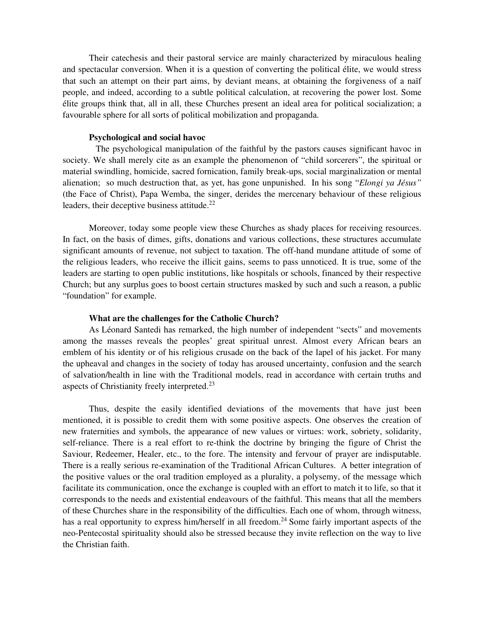Their catechesis and their pastoral service are mainly characterized by miraculous healing and spectacular conversion. When it is a question of converting the political élite, we would stress that such an attempt on their part aims, by deviant means, at obtaining the forgiveness of a naïf people, and indeed, according to a subtle political calculation, at recovering the power lost. Some élite groups think that, all in all, these Churches present an ideal area for political socialization; a favourable sphere for all sorts of political mobilization and propaganda.

#### **Psychological and social havoc**

 The psychological manipulation of the faithful by the pastors causes significant havoc in society. We shall merely cite as an example the phenomenon of "child sorcerers", the spiritual or material swindling, homicide, sacred fornication, family break-ups, social marginalization or mental alienation; so much destruction that, as yet, has gone unpunished. In his song "*Elongi ya Jésus"* (the Face of Christ), Papa Wemba, the singer, derides the mercenary behaviour of these religious leaders, their deceptive business attitude.<sup>22</sup>

Moreover, today some people view these Churches as shady places for receiving resources. In fact, on the basis of dimes, gifts, donations and various collections, these structures accumulate significant amounts of revenue, not subject to taxation. The off-hand mundane attitude of some of the religious leaders, who receive the illicit gains, seems to pass unnoticed. It is true, some of the leaders are starting to open public institutions, like hospitals or schools, financed by their respective Church; but any surplus goes to boost certain structures masked by such and such a reason, a public "foundation" for example.

#### **What are the challenges for the Catholic Church?**

As Léonard Santedi has remarked, the high number of independent "sects" and movements among the masses reveals the peoples' great spiritual unrest. Almost every African bears an emblem of his identity or of his religious crusade on the back of the lapel of his jacket. For many the upheaval and changes in the society of today has aroused uncertainty, confusion and the search of salvation/health in line with the Traditional models, read in accordance with certain truths and aspects of Christianity freely interpreted.<sup>23</sup>

 Thus, despite the easily identified deviations of the movements that have just been mentioned, it is possible to credit them with some positive aspects. One observes the creation of new fraternities and symbols, the appearance of new values or virtues: work, sobriety, solidarity, self-reliance. There is a real effort to re-think the doctrine by bringing the figure of Christ the Saviour, Redeemer, Healer, etc., to the fore. The intensity and fervour of prayer are indisputable. There is a really serious re-examination of the Traditional African Cultures. A better integration of the positive values or the oral tradition employed as a plurality, a polysemy, of the message which facilitate its communication, once the exchange is coupled with an effort to match it to life, so that it corresponds to the needs and existential endeavours of the faithful. This means that all the members of these Churches share in the responsibility of the difficulties. Each one of whom, through witness, has a real opportunity to express him/herself in all freedom.<sup>24</sup> Some fairly important aspects of the neo-Pentecostal spirituality should also be stressed because they invite reflection on the way to live the Christian faith.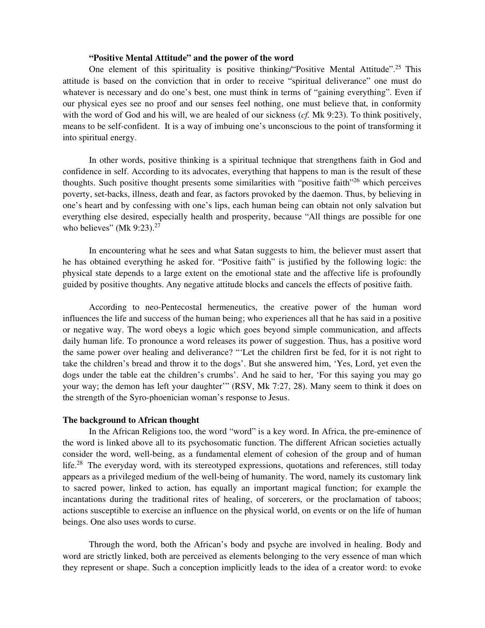# **"Positive Mental Attitude" and the power of the word**

One element of this spirituality is positive thinking/"Positive Mental Attitude".<sup>25</sup> This attitude is based on the conviction that in order to receive "spiritual deliverance" one must do whatever is necessary and do one's best, one must think in terms of "gaining everything". Even if our physical eyes see no proof and our senses feel nothing, one must believe that, in conformity with the word of God and his will, we are healed of our sickness (*cf.* Mk 9:23). To think positively, means to be self-confident. It is a way of imbuing one's unconscious to the point of transforming it into spiritual energy.

In other words, positive thinking is a spiritual technique that strengthens faith in God and confidence in self. According to its advocates, everything that happens to man is the result of these thoughts. Such positive thought presents some similarities with "positive faith"<sup>26</sup> which perceives poverty, set-backs, illness, death and fear, as factors provoked by the daemon. Thus, by believing in one's heart and by confessing with one's lips, each human being can obtain not only salvation but everything else desired, especially health and prosperity, because "All things are possible for one who believes" (Mk 9:23). $27$ 

In encountering what he sees and what Satan suggests to him, the believer must assert that he has obtained everything he asked for. "Positive faith" is justified by the following logic: the physical state depends to a large extent on the emotional state and the affective life is profoundly guided by positive thoughts. Any negative attitude blocks and cancels the effects of positive faith.

According to neo-Pentecostal hermeneutics, the creative power of the human word influences the life and success of the human being; who experiences all that he has said in a positive or negative way. The word obeys a logic which goes beyond simple communication, and affects daily human life. To pronounce a word releases its power of suggestion. Thus, has a positive word the same power over healing and deliverance? "'Let the children first be fed, for it is not right to take the children's bread and throw it to the dogs'. But she answered him, 'Yes, Lord, yet even the dogs under the table eat the children's crumbs'. And he said to her, 'For this saying you may go your way; the demon has left your daughter'" (RSV, Mk 7:27, 28). Many seem to think it does on the strength of the Syro-phoenician woman's response to Jesus.

#### **The background to African thought**

In the African Religions too, the word "word" is a key word. In Africa, the pre-eminence of the word is linked above all to its psychosomatic function. The different African societies actually consider the word, well-being, as a fundamental element of cohesion of the group and of human life.<sup>28</sup> The everyday word, with its stereotyped expressions, quotations and references, still today appears as a privileged medium of the well-being of humanity. The word, namely its customary link to sacred power, linked to action, has equally an important magical function; for example the incantations during the traditional rites of healing, of sorcerers, or the proclamation of taboos; actions susceptible to exercise an influence on the physical world, on events or on the life of human beings. One also uses words to curse.

 Through the word, both the African's body and psyche are involved in healing. Body and word are strictly linked, both are perceived as elements belonging to the very essence of man which they represent or shape. Such a conception implicitly leads to the idea of a creator word: to evoke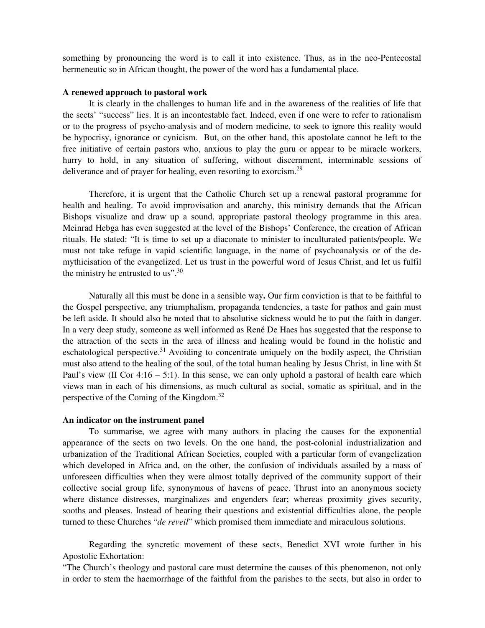something by pronouncing the word is to call it into existence. Thus, as in the neo-Pentecostal hermeneutic so in African thought, the power of the word has a fundamental place.

#### **A renewed approach to pastoral work**

It is clearly in the challenges to human life and in the awareness of the realities of life that the sects' "success" lies. It is an incontestable fact. Indeed, even if one were to refer to rationalism or to the progress of psycho-analysis and of modern medicine, to seek to ignore this reality would be hypocrisy, ignorance or cynicism. But, on the other hand, this apostolate cannot be left to the free initiative of certain pastors who, anxious to play the guru or appear to be miracle workers, hurry to hold, in any situation of suffering, without discernment, interminable sessions of deliverance and of prayer for healing, even resorting to exorcism.<sup>29</sup>

Therefore, it is urgent that the Catholic Church set up a renewal pastoral programme for health and healing. To avoid improvisation and anarchy, this ministry demands that the African Bishops visualize and draw up a sound, appropriate pastoral theology programme in this area. Meinrad Hebga has even suggested at the level of the Bishops' Conference, the creation of African rituals. He stated: "It is time to set up a diaconate to minister to inculturated patients/people. We must not take refuge in vapid scientific language, in the name of psychoanalysis or of the demythicisation of the evangelized. Let us trust in the powerful word of Jesus Christ, and let us fulfil the ministry he entrusted to us".  $30$ 

Naturally all this must be done in a sensible way**.** Our firm conviction is that to be faithful to the Gospel perspective, any triumphalism, propaganda tendencies, a taste for pathos and gain must be left aside. It should also be noted that to absolutise sickness would be to put the faith in danger. In a very deep study, someone as well informed as René De Haes has suggested that the response to the attraction of the sects in the area of illness and healing would be found in the holistic and eschatological perspective.<sup>31</sup> Avoiding to concentrate uniquely on the bodily aspect, the Christian must also attend to the healing of the soul, of the total human healing by Jesus Christ, in line with St Paul's view (II Cor  $4:16 - 5:1$ ). In this sense, we can only uphold a pastoral of health care which views man in each of his dimensions, as much cultural as social, somatic as spiritual, and in the perspective of the Coming of the Kingdom.<sup>32</sup>

#### **An indicator on the instrument panel**

To summarise, we agree with many authors in placing the causes for the exponential appearance of the sects on two levels. On the one hand, the post-colonial industrialization and urbanization of the Traditional African Societies, coupled with a particular form of evangelization which developed in Africa and, on the other, the confusion of individuals assailed by a mass of unforeseen difficulties when they were almost totally deprived of the community support of their collective social group life, synonymous of havens of peace. Thrust into an anonymous society where distance distresses, marginalizes and engenders fear; whereas proximity gives security, sooths and pleases. Instead of bearing their questions and existential difficulties alone, the people turned to these Churches "*de reveil*" which promised them immediate and miraculous solutions.

 Regarding the syncretic movement of these sects, Benedict XVI wrote further in his Apostolic Exhortation:

"The Church's theology and pastoral care must determine the causes of this phenomenon, not only in order to stem the haemorrhage of the faithful from the parishes to the sects, but also in order to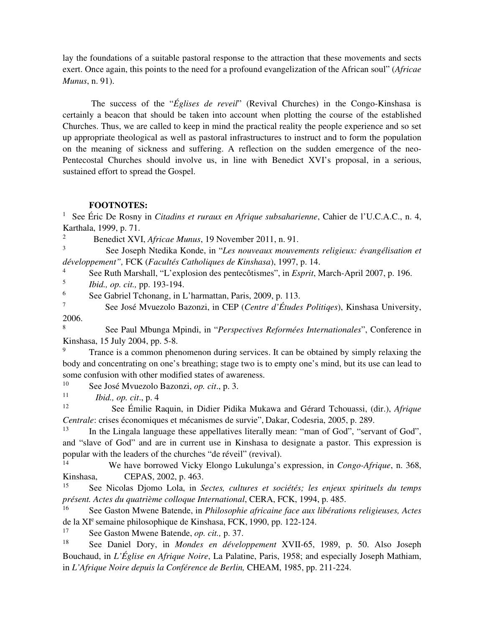lay the foundations of a suitable pastoral response to the attraction that these movements and sects exert. Once again, this points to the need for a profound evangelization of the African soul" (*Africae Munus*, n. 91).

 The success of the "*Églises de reveil*" (Revival Churches) in the Congo-Kinshasa is certainly a beacon that should be taken into account when plotting the course of the established Churches. Thus, we are called to keep in mind the practical reality the people experience and so set up appropriate theological as well as pastoral infrastructures to instruct and to form the population on the meaning of sickness and suffering. A reflection on the sudden emergence of the neo-Pentecostal Churches should involve us, in line with Benedict XVI's proposal, in a serious, sustained effort to spread the Gospel.

# **FOOTNOTES:**

<sup>1</sup>See Éric De Rosny in *Citadins et ruraux en Afrique subsaharienne*, Cahier de l'U.C.A.C., n. 4, Karthala, 1999, p. 71.

2 <sup>2</sup><br>Benedict XVI, *Africae Munus*, 19 November 2011, n. 91.

<sup>3</sup>See Joseph Ntedika Konde, in "*Les nouveaux mouvements religieux: évangélisation et développement",* FCK (*Facultés Catholiques de Kinshasa*), 1997, p. 14.

<sup>4</sup> See Ruth Marshall, "L'explosion des pentecôtismes", in *Esprit*, March-April 2007, p. 196.

<sup>5</sup>*Ibid., op. cit.,* pp. 193-194.

<sup>6</sup> See Gabriel Tchonang, in L'harmattan, Paris, 2009, p. 113.

<sup>7</sup>See José Mvuezolo Bazonzi, in CEP (*Centre d'Études Politiqes*), Kinshasa University, 2006.

<sup>8</sup>See Paul Mbunga Mpindi, in "*Perspectives Reformées Internationales*", Conference in Kinshasa, 15 July 2004, pp. 5-8.

Trance is a common phenomenon during services. It can be obtained by simply relaxing the body and concentrating on one's breathing; stage two is to empty one's mind, but its use can lead to some confusion with other modified states of awareness.

<sup>10</sup> See José Mvuezolo Bazonzi, *op. cit.*, p. 3.

 $11$  *Ibid., op. cit.*, p. 4<br> $12$  See Emilie P

<sup>12</sup>See Émilie Raquin, in Didier Pidika Mukawa and Gérard Tchouassi, (dir.), *Afrique Centrale*: crises économiques et mécanismes de survie", Dakar, Codesria, 2005, p. 289.

<sup>13</sup> In the Lingala language these appellatives literally mean: "man of God", "servant of God", and "slave of God" and are in current use in Kinshasa to designate a pastor. This expression is popular with the leaders of the churches "de réveil" (revival).

<sup>14</sup> We have borrowed Vicky Elongo Lukulunga's expression, in *Congo-Afrique*, n. 368, Kinshasa, CEPAS, 2002, p. 463.

See Nicolas Djomo Lola, in *Sectes, cultures et sociétés; les enjeux spirituels du temps présent. Actes du quatrième colloque International*, CERA, FCK, 1994, p. 485.

<sup>16</sup>See Gaston Mwene Batende, in *Philosophie africaine face aux libérations religieuses, Actes* de la XI<sup>e</sup> semaine philosophique de Kinshasa, FCK, 1990, pp. 122-124.

<sup>17</sup> See Gaston Mwene Batende, *op. cit.*, p. 37.

<sup>18</sup> See Daniel Dory, in *Mondes en développement* XVII-65, 1989, p. 50. Also Joseph Bouchaud, in *L'Église en Afrique Noire*, La Palatine, Paris, 1958; and especially Joseph Mathiam, in *L'Afrique Noire depuis la Conférence de Berlin,* CHEAM, 1985, pp. 211-224.